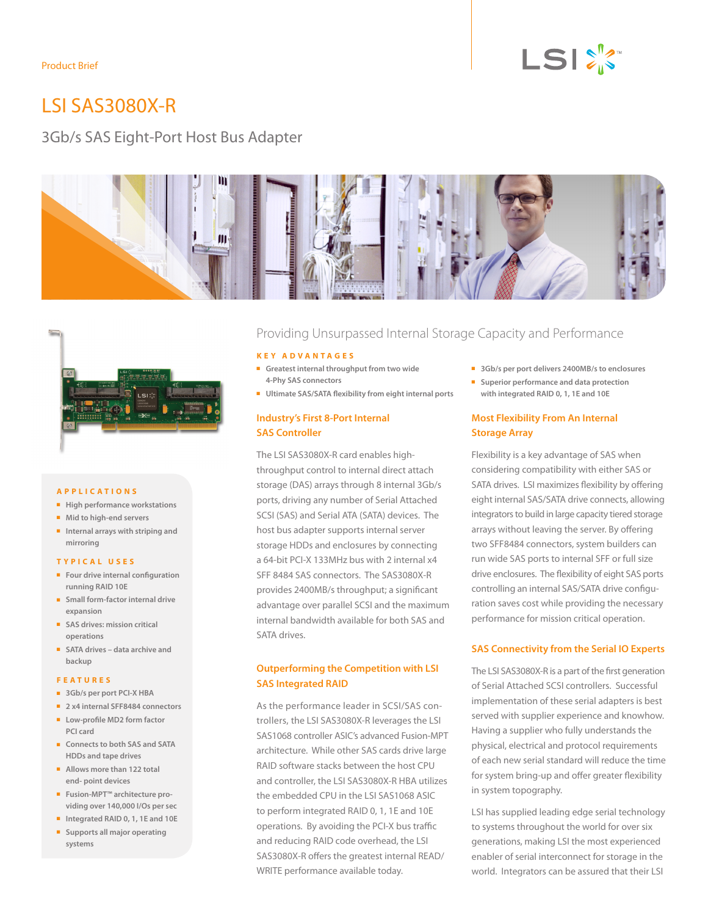

# LSI SAS3080X-R

# 3Gb/s SAS Eight-Port Host Bus Adapter





#### **A p p l i c a t i o n s**

- $\blacksquare$  High performance workstations
- $\blacksquare$  Mid to high-end servers
- <sup>n</sup> **Internal arrays with striping and mirroring**

#### **TYPIC A L U SES**

- <sup>n</sup> **Four drive internal configuration running RAID 10E**
- **n** Small form-factor internal drive **expansion**
- <sup>n</sup> **SAS drives: mission critical operations**
- <sup>n</sup> **SATA drives – data archive and backup**

#### **F e a t u r e s**

- <sup>n</sup> **3Gb/s per port PCI-X HBA**
- 2 **x4 internal SFF8484** connectors
- <sup>n</sup> **Low-profile MD2 form factor PCI card**
- <sup>n</sup> **Connects to both SAS and SATA HDDs and tape drives**
- <sup>n</sup> **Allows more than 122 total end- point devices**
- Fusion-MPT<sup>™</sup> architecture pro**viding over 140,000 I/Os per sec**
- <sup>n</sup> **Integrated RAID 0, 1, 1E and 10E** <sup>n</sup> **Supports all major operating systems**

## Providing Unsurpassed Internal Storage Capacity and Performance

#### **K e y A d v a n t a g e s**

- <sup>n</sup> **Greatest internal throughput from two wide 4-Phy SAS connectors**
- <sup>n</sup> **Ultimate SAS/SATA flexibility from eight internal ports**

#### **Industry's First 8-Port Internal SAS Controller**

The LSI SAS3080X-R card enables highthroughput control to internal direct attach storage (DAS) arrays through 8 internal 3Gb/s ports, driving any number of Serial Attached SCSI (SAS) and Serial ATA (SATA) devices. The host bus adapter supports internal server storage HDDs and enclosures by connecting a 64-bit PCI-X 133MHz bus with 2 internal x4 SFF 8484 SAS connectors. The SAS3080X-R provides 2400MB/s throughput; a significant advantage over parallel SCSI and the maximum internal bandwidth available for both SAS and SATA drives.

#### **Outperforming the Competition with LSI SAS Integrated RAID**

As the performance leader in SCSI/SAS controllers, the LSI SAS3080X-R leverages the LSI SAS1068 controller ASIC's advanced Fusion-MPT architecture. While other SAS cards drive large RAID software stacks between the host CPU and controller, the LSI SAS3080X-R HBA utilizes the embedded CPU in the LSI SAS1068 ASIC to perform integrated RAID 0, 1, 1E and 10E operations. By avoiding the PCI-X bus traffic and reducing RAID code overhead, the LSI SAS3080X-R offers the greatest internal READ/ WRITE performance available today.

- <sup>n</sup> **3Gb/s per port delivers 2400MB/s to enclosures**
- **n** Superior performance and data protection **with integrated RAID 0, 1, 1E and 10E**

#### **Most Flexibility From An Internal Storage Array**

Flexibility is a key advantage of SAS when considering compatibility with either SAS or SATA drives. LSI maximizes flexibility by offering eight internal SAS/SATA drive connects, allowing integrators to build in large capacity tiered storage arrays without leaving the server. By offering two SFF8484 connectors, system builders can run wide SAS ports to internal SFF or full size drive enclosures. The flexibility of eight SAS ports controlling an internal SAS/SATA drive configuration saves cost while providing the necessary performance for mission critical operation.

#### **SAS Connectivity from the Serial IO Experts**

The LSI SAS3080X-R is a part of the first generation of Serial Attached SCSI controllers. Successful implementation of these serial adapters is best served with supplier experience and knowhow. Having a supplier who fully understands the physical, electrical and protocol requirements of each new serial standard will reduce the time for system bring-up and offer greater flexibility in system topography.

LSI has supplied leading edge serial technology to systems throughout the world for over six generations, making LSI the most experienced enabler of serial interconnect for storage in the world. Integrators can be assured that their LSI